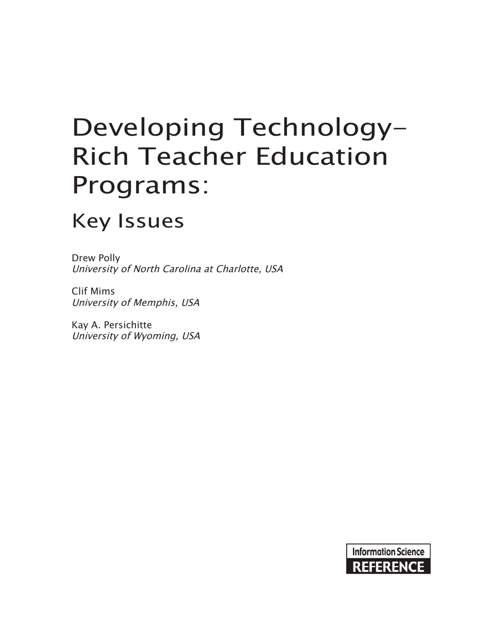# Developing Technology-Rich Teacher Education Programs:

# Key Issues

Drew Polly University of North Carolina at Charlotte, USA

Clif Mims University of Memphis, USA

Kay A. Persichitte University of Wyoming, USA

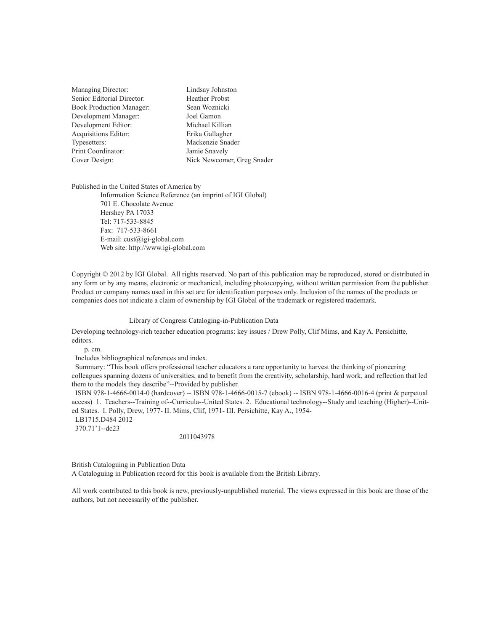| Managing Director:              | Lindsay Johnston           |
|---------------------------------|----------------------------|
| Senior Editorial Director:      | <b>Heather Probst</b>      |
| <b>Book Production Manager:</b> | Sean Woznicki              |
| Development Manager:            | Joel Gamon                 |
| Development Editor:             | Michael Killian            |
| Acquisitions Editor:            | Erika Gallagher            |
| Typesetters:                    | Mackenzie Snader           |
| Print Coordinator:              | Jamie Snavely              |
| Cover Design:                   | Nick Newcomer, Greg Snader |
|                                 |                            |

Published in the United States of America by

Information Science Reference (an imprint of IGI Global) 701 E. Chocolate Avenue Hershey PA 17033 Tel: 717-533-8845 Fax: 717-533-8661 E-mail: cust@igi-global.com Web site: http://www.igi-global.com

Copyright © 2012 by IGI Global. All rights reserved. No part of this publication may be reproduced, stored or distributed in any form or by any means, electronic or mechanical, including photocopying, without written permission from the publisher. Product or company names used in this set are for identification purposes only. Inclusion of the names of the products or companies does not indicate a claim of ownership by IGI Global of the trademark or registered trademark.

#### Library of Congress Cataloging-in-Publication Data

Developing technology-rich teacher education programs: key issues / Drew Polly, Clif Mims, and Kay A. Persichitte, editors.

p. cm.

Includes bibliographical references and index.

 Summary: "This book offers professional teacher educators a rare opportunity to harvest the thinking of pioneering colleagues spanning dozens of universities, and to benefit from the creativity, scholarship, hard work, and reflection that led them to the models they describe"--Provided by publisher.

 ISBN 978-1-4666-0014-0 (hardcover) -- ISBN 978-1-4666-0015-7 (ebook) -- ISBN 978-1-4666-0016-4 (print & perpetual access) 1. Teachers--Training of--Curricula--United States. 2. Educational technology--Study and teaching (Higher)--United States. I. Polly, Drew, 1977- II. Mims, Clif, 1971- III. Persichitte, Kay A., 1954-

LB1715.D484 2012

370.71'1--dc23

#### 2011043978

British Cataloguing in Publication Data

A Cataloguing in Publication record for this book is available from the British Library.

All work contributed to this book is new, previously-unpublished material. The views expressed in this book are those of the authors, but not necessarily of the publisher.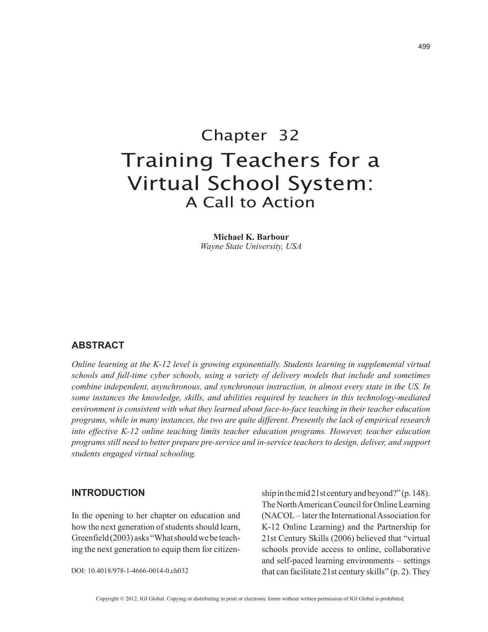## Chapter 32 Training Teachers for a Virtual School System: A Call to Action

**Michael K. Barbour** *Wayne State University, USA*

#### **abStract**

*Online learning at the K-12 level is growing exponentially. Students learning in supplemental virtual schools and full-time cyber schools, using a variety of delivery models that include and sometimes combine independent, asynchronous, and synchronous instruction, in almost every state in the US. In some instances the knowledge, skills, and abilities required by teachers in this technology-mediated environment is consistent with what they learned about face-to-face teaching in their teacher education programs, while in many instances, the two are quite different. Presently the lack of empirical research into effective K-12 online teaching limits teacher education programs. However, teacher education programs still need to better prepare pre-service and in-service teachers to design, deliver, and support students engaged virtual schooling.*

#### **intrOductiOn**

In the opening to her chapter on education and how the next generation of students should learn, Greenfield (2003) asks "What should we be teaching the next generation to equip them for citizenship in the mid 21st century and beyond?" (p. 148). The North American Council for Online Learning (NACOL – later the International Association for K-12 Online Learning) and the Partnership for 21st Century Skills (2006) believed that "virtual schools provide access to online, collaborative and self-paced learning environments – settings that can facilitate 21st century skills" (p. 2). They

DOI: 10.4018/978-1-4666-0014-0.ch032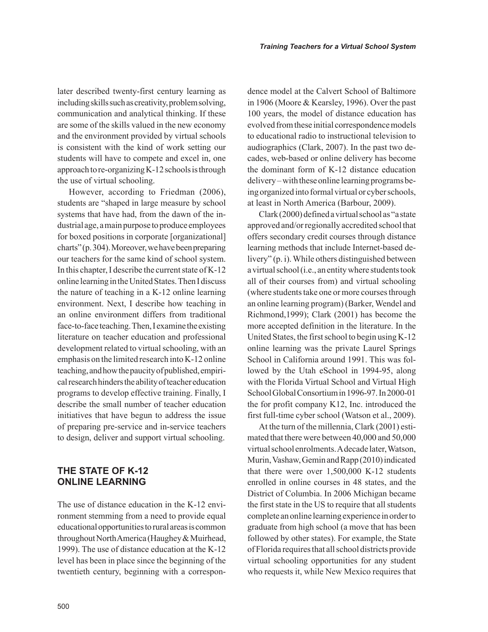later described twenty-first century learning as including skills such as creativity, problem solving, communication and analytical thinking. If these are some of the skills valued in the new economy and the environment provided by virtual schools is consistent with the kind of work setting our students will have to compete and excel in, one approach to re-organizing K-12 schools is through the use of virtual schooling.

However, according to Friedman (2006), students are "shaped in large measure by school systems that have had, from the dawn of the industrial age, a main purpose to produce employees for boxed positions in corporate [organizational] charts" (p. 304). Moreover, we have been preparing our teachers for the same kind of school system. In this chapter, I describe the current state of K-12 online learning in the United States. Then I discuss the nature of teaching in a K-12 online learning environment. Next, I describe how teaching in an online environment differs from traditional face-to-face teaching. Then, I examine the existing literature on teacher education and professional development related to virtual schooling, with an emphasis on the limited research into K-12 online teaching, and how the paucity of published, empirical research hinders the ability of teacher education programs to develop effective training. Finally, I describe the small number of teacher education initiatives that have begun to address the issue of preparing pre-service and in-service teachers to design, deliver and support virtual schooling.

#### **THE STATE OF K-12 Online learning**

The use of distance education in the K-12 environment stemming from a need to provide equal educational opportunities to rural areas is common throughout North America (Haughey & Muirhead, 1999). The use of distance education at the K-12 level has been in place since the beginning of the twentieth century, beginning with a correspondence model at the Calvert School of Baltimore in 1906 (Moore & Kearsley, 1996). Over the past 100 years, the model of distance education has evolved from these initial correspondence models to educational radio to instructional television to audiographics (Clark, 2007). In the past two decades, web-based or online delivery has become the dominant form of K-12 distance education delivery – with these online learning programs being organized into formal virtual or cyber schools, at least in North America (Barbour, 2009).

Clark (2000) defined a virtual school as "a state approved and/or regionally accredited school that offers secondary credit courses through distance learning methods that include Internet-based delivery" (p. i). While others distinguished between a virtual school (i.e., an entity where students took all of their courses from) and virtual schooling (where students take one or more courses through an online learning program) (Barker, Wendel and Richmond,1999); Clark (2001) has become the more accepted definition in the literature. In the United States, the first school to begin using K-12 online learning was the private Laurel Springs School in California around 1991. This was followed by the Utah eSchool in 1994-95, along with the Florida Virtual School and Virtual High School Global Consortium in 1996-97. In 2000-01 the for profit company K12, Inc. introduced the first full-time cyber school (Watson et al., 2009).

At the turn of the millennia, Clark (2001) estimated that there were between 40,000 and 50,000 virtual school enrolments. A decade later, Watson, Murin, Vashaw, Gemin and Rapp (2010) indicated that there were over 1,500,000 K-12 students enrolled in online courses in 48 states, and the District of Columbia. In 2006 Michigan became the first state in the US to require that all students complete an online learning experience in order to graduate from high school (a move that has been followed by other states). For example, the State of Florida requires that all school districts provide virtual schooling opportunities for any student who requests it, while New Mexico requires that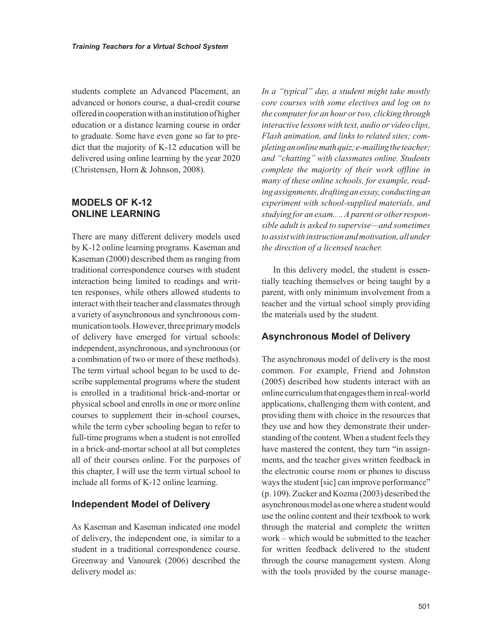students complete an Advanced Placement, an advanced or honors course, a dual-credit course offered in cooperation with an institution of higher education or a distance learning course in order to graduate. Some have even gone so far to predict that the majority of K-12 education will be delivered using online learning by the year 2020 (Christensen, Horn & Johnson, 2008).

#### **mOdelS OF k-12 Online learning**

There are many different delivery models used by K-12 online learning programs. Kaseman and Kaseman (2000) described them as ranging from traditional correspondence courses with student interaction being limited to readings and written responses, while others allowed students to interact with their teacher and classmates through a variety of asynchronous and synchronous communication tools. However, three primary models of delivery have emerged for virtual schools: independent, asynchronous, and synchronous (or a combination of two or more of these methods). The term virtual school began to be used to describe supplemental programs where the student is enrolled in a traditional brick-and-mortar or physical school and enrolls in one or more online courses to supplement their in-school courses, while the term cyber schooling began to refer to full-time programs when a student is not enrolled in a brick-and-mortar school at all but completes all of their courses online. For the purposes of this chapter, I will use the term virtual school to include all forms of K-12 online learning.

#### **Independent Model of Delivery**

As Kaseman and Kaseman indicated one model of delivery, the independent one, is similar to a student in a traditional correspondence course. Greenway and Vanourek (2006) described the delivery model as:

*In a "typical" day, a student might take mostly core courses with some electives and log on to the computer for an hour or two, clicking through interactive lessons with text, audio or video clips, Flash animation, and links to related sites; completing an online math quiz; e-mailing the teacher; and "chatting" with classmates online. Students complete the majority of their work offline in many of these online schools, for example, reading assignments, drafting an essay, conducting an experiment with school-supplied materials, and studying for an exam.. .. A parent or other responsible adult is asked to supervise—and sometimes to assist with instruction and motivation, all under the direction of a licensed teacher.*

In this delivery model, the student is essentially teaching themselves or being taught by a parent, with only minimum involvement from a teacher and the virtual school simply providing the materials used by the student.

#### **asynchronous model of delivery**

The asynchronous model of delivery is the most common. For example, Friend and Johnston (2005) described how students interact with an online curriculum that engages them in real-world applications, challenging them with content, and providing them with choice in the resources that they use and how they demonstrate their understanding of the content. When a student feels they have mastered the content, they turn "in assignments, and the teacher gives written feedback in the electronic course room or phones to discuss ways the student [sic] can improve performance" (p. 109). Zucker and Kozma (2003) described the asynchronous model as one where a student would use the online content and their textbook to work through the material and complete the written work – which would be submitted to the teacher for written feedback delivered to the student through the course management system. Along with the tools provided by the course manage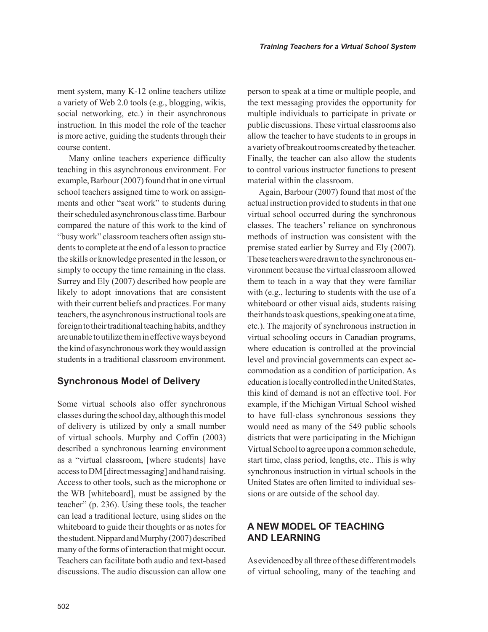ment system, many K-12 online teachers utilize a variety of Web 2.0 tools (e.g., blogging, wikis, social networking, etc.) in their asynchronous instruction. In this model the role of the teacher is more active, guiding the students through their course content.

Many online teachers experience difficulty teaching in this asynchronous environment. For example, Barbour (2007) found that in one virtual school teachers assigned time to work on assignments and other "seat work" to students during their scheduled asynchronous class time. Barbour compared the nature of this work to the kind of "busy work" classroom teachers often assign students to complete at the end of a lesson to practice the skills or knowledge presented in the lesson, or simply to occupy the time remaining in the class. Surrey and Ely (2007) described how people are likely to adopt innovations that are consistent with their current beliefs and practices. For many teachers, the asynchronous instructional tools are foreign to their traditional teaching habits, and they are unable to utilize them in effective ways beyond the kind of asynchronous work they would assign students in a traditional classroom environment.

#### **Synchronous Model of Delivery**

Some virtual schools also offer synchronous classes during the school day, although this model of delivery is utilized by only a small number of virtual schools. Murphy and Coffin (2003) described a synchronous learning environment as a "virtual classroom, [where students] have access to DM [direct messaging] and hand raising. Access to other tools, such as the microphone or the WB [whiteboard], must be assigned by the teacher" (p. 236). Using these tools, the teacher can lead a traditional lecture, using slides on the whiteboard to guide their thoughts or as notes for the student. Nippard and Murphy (2007) described many of the forms of interaction that might occur. Teachers can facilitate both audio and text-based discussions. The audio discussion can allow one person to speak at a time or multiple people, and the text messaging provides the opportunity for multiple individuals to participate in private or public discussions. These virtual classrooms also allow the teacher to have students to in groups in a variety of breakout rooms created by the teacher. Finally, the teacher can also allow the students to control various instructor functions to present material within the classroom.

Again, Barbour (2007) found that most of the actual instruction provided to students in that one virtual school occurred during the synchronous classes. The teachers' reliance on synchronous methods of instruction was consistent with the premise stated earlier by Surrey and Ely (2007). These teachers were drawn to the synchronous environment because the virtual classroom allowed them to teach in a way that they were familiar with (e.g., lecturing to students with the use of a whiteboard or other visual aids, students raising their hands to ask questions, speaking one at a time, etc.). The majority of synchronous instruction in virtual schooling occurs in Canadian programs, where education is controlled at the provincial level and provincial governments can expect accommodation as a condition of participation. As education is locally controlled in the United States, this kind of demand is not an effective tool. For example, if the Michigan Virtual School wished to have full-class synchronous sessions they would need as many of the 549 public schools districts that were participating in the Michigan Virtual School to agree upon a common schedule, start time, class period, lengths, etc.. This is why synchronous instruction in virtual schools in the United States are often limited to individual sessions or are outside of the school day.

#### **a new mOdel OF teaching and learning**

As evidenced by all three of these different models of virtual schooling, many of the teaching and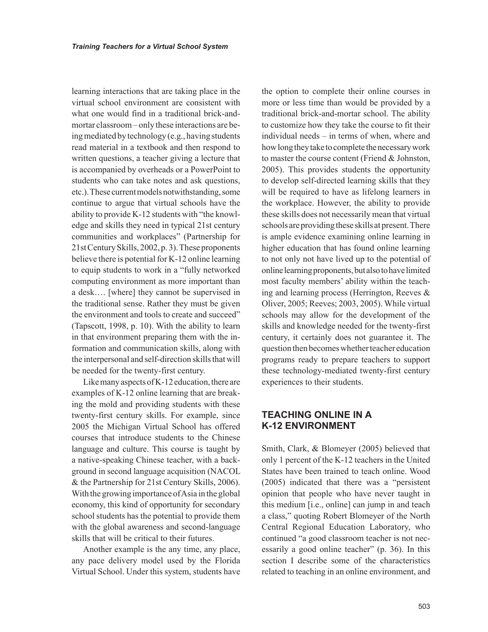learning interactions that are taking place in the virtual school environment are consistent with what one would find in a traditional brick-andmortar classroom – only these interactions are being mediated by technology (e.g., having students read material in a textbook and then respond to written questions, a teacher giving a lecture that is accompanied by overheads or a PowerPoint to students who can take notes and ask questions, etc.). These current models notwithstanding, some continue to argue that virtual schools have the ability to provide K-12 students with "the knowledge and skills they need in typical 21st century communities and workplaces" (Partnership for 21st Century Skills, 2002, p. 3). These proponents believe there is potential for K-12 online learning to equip students to work in a "fully networked computing environment as more important than a desk…. [where] they cannot be supervised in the traditional sense. Rather they must be given the environment and tools to create and succeed" (Tapscott, 1998, p. 10). With the ability to learn in that environment preparing them with the information and communication skills, along with the interpersonal and self-direction skills that will be needed for the twenty-first century.

Like many aspects of K-12 education, there are examples of K-12 online learning that are breaking the mold and providing students with these twenty-first century skills. For example, since 2005 the Michigan Virtual School has offered courses that introduce students to the Chinese language and culture. This course is taught by a native-speaking Chinese teacher, with a background in second language acquisition (NACOL & the Partnership for 21st Century Skills, 2006). With the growing importance of Asia in the global economy, this kind of opportunity for secondary school students has the potential to provide them with the global awareness and second-language skills that will be critical to their futures.

Another example is the any time, any place, any pace delivery model used by the Florida Virtual School. Under this system, students have the option to complete their online courses in more or less time than would be provided by a traditional brick-and-mortar school. The ability to customize how they take the course to fit their individual needs – in terms of when, where and how long they take to complete the necessary work to master the course content (Friend & Johnston, 2005). This provides students the opportunity to develop self-directed learning skills that they will be required to have as lifelong learners in the workplace. However, the ability to provide these skills does not necessarily mean that virtual schools are providing these skills at present. There is ample evidence examining online learning in higher education that has found online learning to not only not have lived up to the potential of online learning proponents, but also to have limited most faculty members' ability within the teaching and learning process (Herrington, Reeves & Oliver, 2005; Reeves; 2003, 2005). While virtual schools may allow for the development of the skills and knowledge needed for the twenty-first century, it certainly does not guarantee it. The question then becomes whether teacher education programs ready to prepare teachers to support these technology-mediated twenty-first century experiences to their students.

#### **teaching Online in a k-12 envirOnment**

Smith, Clark, & Blomeyer (2005) believed that only 1 percent of the K-12 teachers in the United States have been trained to teach online. Wood (2005) indicated that there was a "persistent opinion that people who have never taught in this medium [i.e., online] can jump in and teach a class," quoting Robert Blomeyer of the North Central Regional Education Laboratory, who continued "a good classroom teacher is not necessarily a good online teacher" (p. 36). In this section I describe some of the characteristics related to teaching in an online environment, and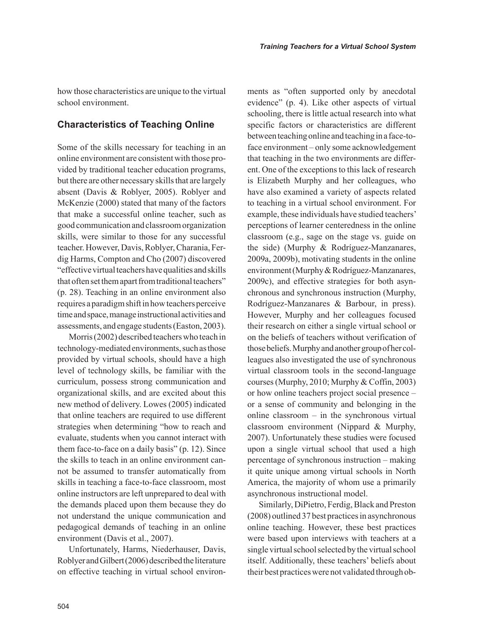how those characteristics are unique to the virtual school environment.

#### **Characteristics of Teaching Online**

Some of the skills necessary for teaching in an online environment are consistent with those provided by traditional teacher education programs, but there are other necessary skills that are largely absent (Davis & Roblyer, 2005). Roblyer and McKenzie (2000) stated that many of the factors that make a successful online teacher, such as good communication and classroom organization skills, were similar to those for any successful teacher. However, Davis, Roblyer, Charania, Ferdig Harms, Compton and Cho (2007) discovered "effective virtual teachers have qualities and skills that often set them apart from traditional teachers" (p. 28). Teaching in an online environment also requires a paradigm shift in how teachers perceive time and space, manage instructional activities and assessments, and engage students (Easton, 2003).

Morris (2002) described teachers who teach in technology-mediated environments, such as those provided by virtual schools, should have a high level of technology skills, be familiar with the curriculum, possess strong communication and organizational skills, and are excited about this new method of delivery. Lowes (2005) indicated that online teachers are required to use different strategies when determining "how to reach and evaluate, students when you cannot interact with them face-to-face on a daily basis" (p. 12). Since the skills to teach in an online environment cannot be assumed to transfer automatically from skills in teaching a face-to-face classroom, most online instructors are left unprepared to deal with the demands placed upon them because they do not understand the unique communication and pedagogical demands of teaching in an online environment (Davis et al., 2007).

Unfortunately, Harms, Niederhauser, Davis, Roblyer and Gilbert (2006) described the literature on effective teaching in virtual school environments as "often supported only by anecdotal evidence" (p. 4). Like other aspects of virtual schooling, there is little actual research into what specific factors or characteristics are different between teaching online and teaching in a face-toface environment – only some acknowledgement that teaching in the two environments are different. One of the exceptions to this lack of research is Elizabeth Murphy and her colleagues, who have also examined a variety of aspects related to teaching in a virtual school environment. For example, these individuals have studied teachers' perceptions of learner centeredness in the online classroom (e.g., sage on the stage vs. guide on the side) (Murphy & Rodríguez-Manzanares, 2009a, 2009b), motivating students in the online environment (Murphy & Rodríguez-Manzanares, 2009c), and effective strategies for both asynchronous and synchronous instruction (Murphy, Rodríguez-Manzanares & Barbour, in press). However, Murphy and her colleagues focused their research on either a single virtual school or on the beliefs of teachers without verification of those beliefs. Murphy and another group of her colleagues also investigated the use of synchronous virtual classroom tools in the second-language courses (Murphy, 2010; Murphy & Coffin, 2003) or how online teachers project social presence – or a sense of community and belonging in the online classroom – in the synchronous virtual classroom environment (Nippard & Murphy, 2007). Unfortunately these studies were focused upon a single virtual school that used a high percentage of synchronous instruction – making it quite unique among virtual schools in North America, the majority of whom use a primarily asynchronous instructional model.

Similarly, DiPietro, Ferdig, Black and Preston (2008) outlined 37 best practices in asynchronous online teaching. However, these best practices were based upon interviews with teachers at a single virtual school selected by the virtual school itself. Additionally, these teachers' beliefs about their best practices were not validated through ob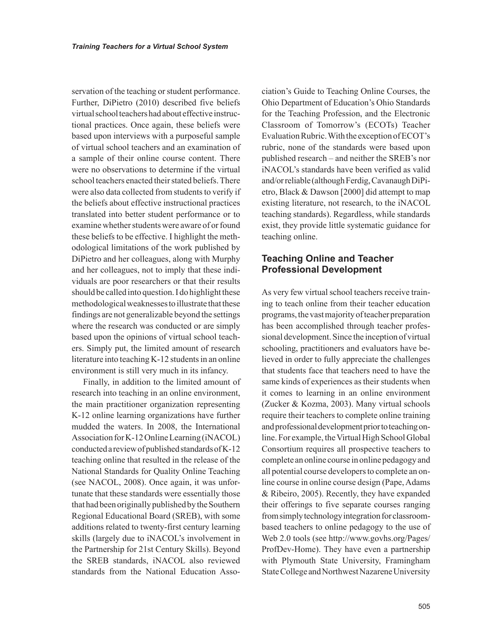servation of the teaching or student performance. Further, DiPietro (2010) described five beliefs virtual school teachers had about effective instructional practices. Once again, these beliefs were based upon interviews with a purposeful sample of virtual school teachers and an examination of a sample of their online course content. There were no observations to determine if the virtual school teachers enacted their stated beliefs. There were also data collected from students to verify if the beliefs about effective instructional practices translated into better student performance or to examine whether students were aware of or found these beliefs to be effective. I highlight the methodological limitations of the work published by DiPietro and her colleagues, along with Murphy and her colleagues, not to imply that these individuals are poor researchers or that their results should be called into question. I do highlight these methodological weaknesses to illustrate that these findings are not generalizable beyond the settings where the research was conducted or are simply based upon the opinions of virtual school teachers. Simply put, the limited amount of research literature into teaching K-12 students in an online environment is still very much in its infancy.

Finally, in addition to the limited amount of research into teaching in an online environment, the main practitioner organization representing K-12 online learning organizations have further mudded the waters. In 2008, the International Association for K-12 Online Learning (iNACOL) conducted a review of published standards of K-12 teaching online that resulted in the release of the National Standards for Quality Online Teaching (see NACOL, 2008). Once again, it was unfortunate that these standards were essentially those that had been originally published by the Southern Regional Educational Board (SREB), with some additions related to twenty-first century learning skills (largely due to iNACOL's involvement in the Partnership for 21st Century Skills). Beyond the SREB standards, iNACOL also reviewed standards from the National Education Association's Guide to Teaching Online Courses, the Ohio Department of Education's Ohio Standards for the Teaching Profession, and the Electronic Classroom of Tomorrow's (ECOTs) Teacher Evaluation Rubric. With the exception of ECOT's rubric, none of the standards were based upon published research – and neither the SREB's nor iNACOL's standards have been verified as valid and/or reliable (although Ferdig, Cavanaugh DiPietro, Black & Dawson [2000] did attempt to map existing literature, not research, to the iNACOL teaching standards). Regardless, while standards exist, they provide little systematic guidance for teaching online.

#### **Teaching Online and Teacher Professional Development**

As very few virtual school teachers receive training to teach online from their teacher education programs, the vast majority of teacher preparation has been accomplished through teacher professional development. Since the inception of virtual schooling, practitioners and evaluators have believed in order to fully appreciate the challenges that students face that teachers need to have the same kinds of experiences as their students when it comes to learning in an online environment (Zucker & Kozma, 2003). Many virtual schools require their teachers to complete online training and professional development prior to teaching online. For example, the Virtual High School Global Consortium requires all prospective teachers to complete an online course in online pedagogy and all potential course developers to complete an online course in online course design (Pape, Adams & Ribeiro, 2005). Recently, they have expanded their offerings to five separate courses ranging from simply technology integration for classroombased teachers to online pedagogy to the use of Web 2.0 tools (see http://www.govhs.org/Pages/ ProfDev-Home). They have even a partnership with Plymouth State University, Framingham State College and Northwest Nazarene University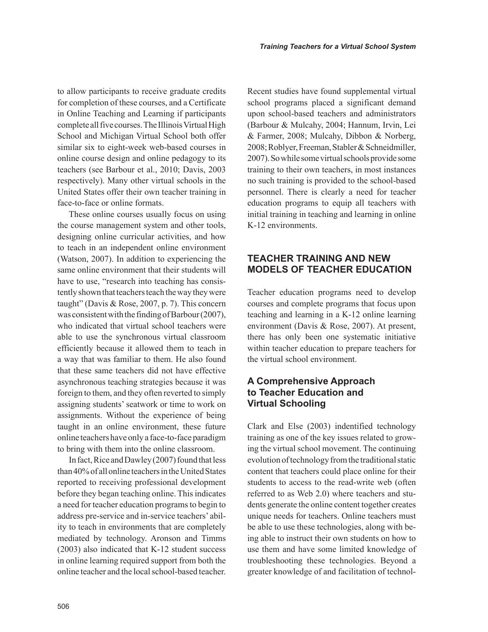to allow participants to receive graduate credits for completion of these courses, and a Certificate in Online Teaching and Learning if participants complete all five courses. The Illinois Virtual High School and Michigan Virtual School both offer similar six to eight-week web-based courses in online course design and online pedagogy to its teachers (see Barbour et al., 2010; Davis, 2003 respectively). Many other virtual schools in the United States offer their own teacher training in face-to-face or online formats.

These online courses usually focus on using the course management system and other tools, designing online curricular activities, and how to teach in an independent online environment (Watson, 2007). In addition to experiencing the same online environment that their students will have to use, "research into teaching has consistently shown that teachers teach the way they were taught" (Davis & Rose, 2007, p. 7). This concern was consistent with the finding of Barbour (2007), who indicated that virtual school teachers were able to use the synchronous virtual classroom efficiently because it allowed them to teach in a way that was familiar to them. He also found that these same teachers did not have effective asynchronous teaching strategies because it was foreign to them, and they often reverted to simply assigning students' seatwork or time to work on assignments. Without the experience of being taught in an online environment, these future online teachers have only a face-to-face paradigm to bring with them into the online classroom.

In fact, Rice and Dawley (2007) found that less than 40% of all online teachers in the United States reported to receiving professional development before they began teaching online. This indicates a need for teacher education programs to begin to address pre-service and in-service teachers' ability to teach in environments that are completely mediated by technology. Aronson and Timms (2003) also indicated that K-12 student success in online learning required support from both the online teacher and the local school-based teacher. Recent studies have found supplemental virtual school programs placed a significant demand upon school-based teachers and administrators (Barbour & Mulcahy, 2004; Hannum, Irvin, Lei & Farmer, 2008; Mulcahy, Dibbon & Norberg, 2008; Roblyer, Freeman, Stabler & Schneidmiller, 2007). So while some virtual schools provide some training to their own teachers, in most instances no such training is provided to the school-based personnel. There is clearly a need for teacher education programs to equip all teachers with initial training in teaching and learning in online K-12 environments.

#### **teacher training and new mOdelS OF teacher educatiOn**

Teacher education programs need to develop courses and complete programs that focus upon teaching and learning in a K-12 online learning environment (Davis & Rose, 2007). At present, there has only been one systematic initiative within teacher education to prepare teachers for the virtual school environment.

#### **a comprehensive approach**  to **Teacher Education and virtual Schooling**

Clark and Else (2003) indentified technology training as one of the key issues related to growing the virtual school movement. The continuing evolution of technology from the traditional static content that teachers could place online for their students to access to the read-write web (often referred to as Web 2.0) where teachers and students generate the online content together creates unique needs for teachers. Online teachers must be able to use these technologies, along with being able to instruct their own students on how to use them and have some limited knowledge of troubleshooting these technologies. Beyond a greater knowledge of and facilitation of technol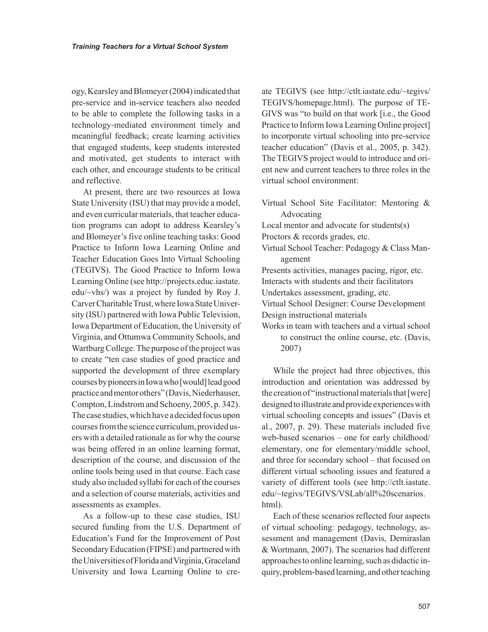ogy, Kearsley and Blomeyer (2004) indicated that pre-service and in-service teachers also needed to be able to complete the following tasks in a technology-mediated environment timely and meaningful feedback; create learning activities that engaged students, keep students interested and motivated, get students to interact with each other, and encourage students to be critical and reflective.

At present, there are two resources at Iowa State University (ISU) that may provide a model, and even curricular materials, that teacher education programs can adopt to address Kearsley's and Blomeyer's five online teaching tasks: Good Practice to Inform Iowa Learning Online and Teacher Education Goes Into Virtual Schooling (TEGIVS). The Good Practice to Inform Iowa Learning Online (see http://projects.educ.iastate. edu/~vhs/) was a project by funded by Roy J. Carver Charitable Trust, where Iowa State University (ISU) partnered with Iowa Public Television, Iowa Department of Education, the University of Virginia, and Ottumwa Community Schools, and Wartburg College. The purpose of the project was to create "ten case studies of good practice and supported the development of three exemplary courses by pioneers in Iowa who [would] lead good practice and mentor others" (Davis, Niederhauser, Compton, Lindstrom and Schoeny, 2005, p. 342). The case studies, which have a decided focus upon courses from the science curriculum, provided users with a detailed rationale as for why the course was being offered in an online learning format, description of the course, and discussion of the online tools being used in that course. Each case study also included syllabi for each of the courses and a selection of course materials, activities and assessments as examples.

As a follow-up to these case studies, ISU secured funding from the U.S. Department of Education's Fund for the Improvement of Post Secondary Education (FIPSE) and partnered with the Universities of Florida and Virginia, Graceland University and Iowa Learning Online to create TEGIVS (see http://ctlt.iastate.edu/~tegivs/ TEGIVS/homepage.html). The purpose of TE-GIVS was "to build on that work [i.e., the Good Practice to Inform Iowa Learning Online project] to incorporate virtual schooling into pre-service teacher education" (Davis et al., 2005, p. 342). The TEGIVS project would to introduce and orient new and current teachers to three roles in the virtual school environment:

Virtual School Site Facilitator: Mentoring & Advocating

Local mentor and advocate for students(s)

Proctors & records grades, etc.

Virtual School Teacher: Pedagogy & Class Management

Presents activities, manages pacing, rigor, etc. Interacts with students and their facilitators

Undertakes assessment, grading, etc.

Virtual School Designer: Course Development Design instructional materials

Works in team with teachers and a virtual school to construct the online course, etc. (Davis, 2007)

While the project had three objectives, this introduction and orientation was addressed by the creation of "instructional materials that [were] designed to illustrate and provide experiences with virtual schooling concepts and issues" (Davis et al., 2007, p. 29). These materials included five web-based scenarios – one for early childhood/ elementary, one for elementary/middle school, and three for secondary school – that focused on different virtual schooling issues and featured a variety of different tools (see http://ctlt.iastate. edu/~tegivs/TEGIVS/VSLab/all%20scenarios. html).

Each of these scenarios reflected four aspects of virtual schooling: pedagogy, technology, assessment and management (Davis, Demiraslan & Wortmann, 2007). The scenarios had different approaches to online learning, such as didactic inquiry, problem-based learning, and other teaching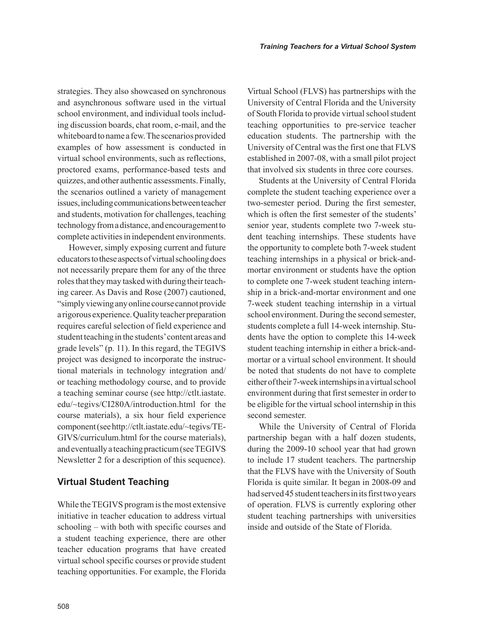strategies. They also showcased on synchronous and asynchronous software used in the virtual school environment, and individual tools including discussion boards, chat room, e-mail, and the whiteboard to name a few. The scenarios provided examples of how assessment is conducted in virtual school environments, such as reflections, proctored exams, performance-based tests and quizzes, and other authentic assessments. Finally, the scenarios outlined a variety of management issues, including communications between teacher and students, motivation for challenges, teaching technology from a distance, and encouragement to complete activities in independent environments.

However, simply exposing current and future educators to these aspects of virtual schooling does not necessarily prepare them for any of the three roles that they may tasked with during their teaching career. As Davis and Rose (2007) cautioned, "simply viewing any online course cannot provide a rigorous experience. Quality teacher preparation requires careful selection of field experience and student teaching in the students' content areas and grade levels" (p. 11). In this regard, the TEGIVS project was designed to incorporate the instructional materials in technology integration and/ or teaching methodology course, and to provide a teaching seminar course (see http://ctlt.iastate. edu/~tegivs/CI280A/introduction.html for the course materials), a six hour field experience component (see http://ctlt.iastate.edu/~tegivs/TE-GIVS/curriculum.html for the course materials), and eventually a teaching practicum (see TEGIVS Newsletter 2 for a description of this sequence).

#### **Virtual Student Teaching**

While the TEGIVS program is the most extensive initiative in teacher education to address virtual schooling – with both with specific courses and a student teaching experience, there are other teacher education programs that have created virtual school specific courses or provide student teaching opportunities. For example, the Florida Virtual School (FLVS) has partnerships with the University of Central Florida and the University of South Florida to provide virtual school student teaching opportunities to pre-service teacher education students. The partnership with the University of Central was the first one that FLVS established in 2007-08, with a small pilot project that involved six students in three core courses.

Students at the University of Central Florida complete the student teaching experience over a two-semester period. During the first semester, which is often the first semester of the students' senior year, students complete two 7-week student teaching internships. These students have the opportunity to complete both 7-week student teaching internships in a physical or brick-andmortar environment or students have the option to complete one 7-week student teaching internship in a brick-and-mortar environment and one 7-week student teaching internship in a virtual school environment. During the second semester, students complete a full 14-week internship. Students have the option to complete this 14-week student teaching internship in either a brick-andmortar or a virtual school environment. It should be noted that students do not have to complete either of their 7-week internships in a virtual school environment during that first semester in order to be eligible for the virtual school internship in this second semester.

While the University of Central of Florida partnership began with a half dozen students, during the 2009-10 school year that had grown to include 17 student teachers. The partnership that the FLVS have with the University of South Florida is quite similar. It began in 2008-09 and had served 45 student teachers in its first two years of operation. FLVS is currently exploring other student teaching partnerships with universities inside and outside of the State of Florida.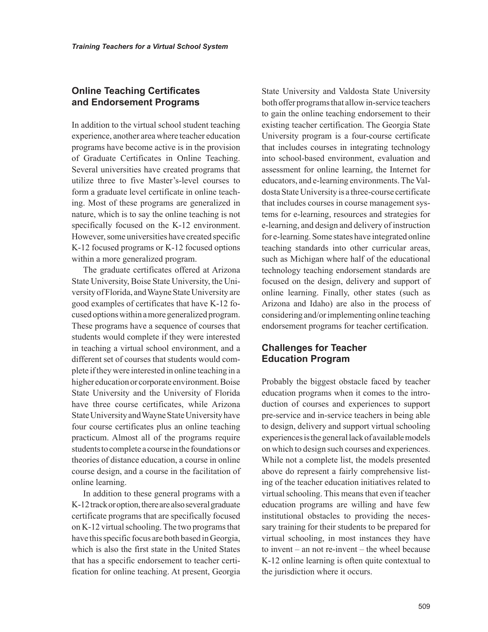#### **Online Teaching Certificates and endorsement Programs**

In addition to the virtual school student teaching experience, another area where teacher education programs have become active is in the provision of Graduate Certificates in Online Teaching. Several universities have created programs that utilize three to five Master's-level courses to form a graduate level certificate in online teaching. Most of these programs are generalized in nature, which is to say the online teaching is not specifically focused on the K-12 environment. However, some universities have created specific K-12 focused programs or K-12 focused options within a more generalized program.

The graduate certificates offered at Arizona State University, Boise State University, the University of Florida, and Wayne State University are good examples of certificates that have K-12 focused options within a more generalized program. These programs have a sequence of courses that students would complete if they were interested in teaching a virtual school environment, and a different set of courses that students would complete if they were interested in online teaching in a higher education or corporate environment. Boise State University and the University of Florida have three course certificates, while Arizona State University and Wayne State University have four course certificates plus an online teaching practicum. Almost all of the programs require students to complete a course in the foundations or theories of distance education, a course in online course design, and a course in the facilitation of online learning.

In addition to these general programs with a K-12 track or option, there are also several graduate certificate programs that are specifically focused on K-12 virtual schooling. The two programs that have this specific focus are both based in Georgia, which is also the first state in the United States that has a specific endorsement to teacher certification for online teaching. At present, Georgia State University and Valdosta State University both offer programs that allow in-service teachers to gain the online teaching endorsement to their existing teacher certification. The Georgia State University program is a four-course certificate that includes courses in integrating technology into school-based environment, evaluation and assessment for online learning, the Internet for educators, and e-learning environments. The Valdosta State University is a three-course certificate that includes courses in course management systems for e-learning, resources and strategies for e-learning, and design and delivery of instruction for e-learning. Some states have integrated online teaching standards into other curricular areas, such as Michigan where half of the educational technology teaching endorsement standards are focused on the design, delivery and support of online learning. Finally, other states (such as Arizona and Idaho) are also in the process of considering and/or implementing online teaching endorsement programs for teacher certification.

#### **Challenges for Teacher education Program**

Probably the biggest obstacle faced by teacher education programs when it comes to the introduction of courses and experiences to support pre-service and in-service teachers in being able to design, delivery and support virtual schooling experiences is the general lack of available models on which to design such courses and experiences. While not a complete list, the models presented above do represent a fairly comprehensive listing of the teacher education initiatives related to virtual schooling. This means that even if teacher education programs are willing and have few institutional obstacles to providing the necessary training for their students to be prepared for virtual schooling, in most instances they have to invent – an not re-invent – the wheel because K-12 online learning is often quite contextual to the jurisdiction where it occurs.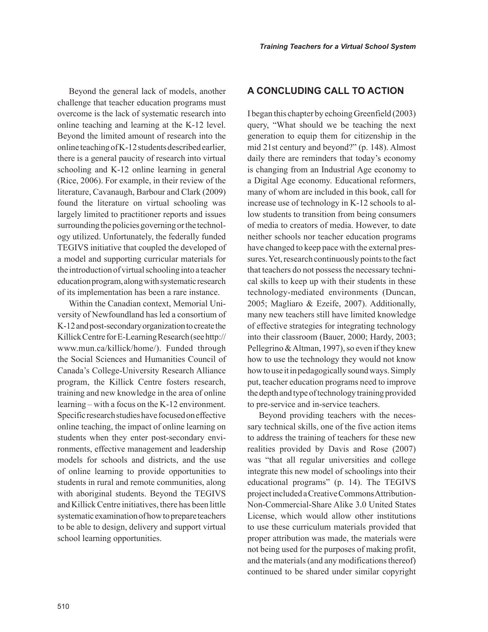Beyond the general lack of models, another challenge that teacher education programs must overcome is the lack of systematic research into online teaching and learning at the K-12 level. Beyond the limited amount of research into the online teaching of K-12 students described earlier, there is a general paucity of research into virtual schooling and K-12 online learning in general (Rice, 2006). For example, in their review of the literature, Cavanaugh, Barbour and Clark (2009) found the literature on virtual schooling was largely limited to practitioner reports and issues surrounding the policies governing or the technology utilized. Unfortunately, the federally funded TEGIVS initiative that coupled the developed of a model and supporting curricular materials for the introduction of virtual schooling into a teacher education program, along with systematic research of its implementation has been a rare instance.

Within the Canadian context, Memorial University of Newfoundland has led a consortium of K-12 and post-secondary organization to create the Killick Centre for E-Learning Research (see http:// www.mun.ca/killick/home/). Funded through the Social Sciences and Humanities Council of Canada's College-University Research Alliance program, the Killick Centre fosters research, training and new knowledge in the area of online learning – with a focus on the K-12 environment. Specific research studies have focused on effective online teaching, the impact of online learning on students when they enter post-secondary environments, effective management and leadership models for schools and districts, and the use of online learning to provide opportunities to students in rural and remote communities, along with aboriginal students. Beyond the TEGIVS and Killick Centre initiatives, there has been little systematic examination of how to prepare teachers to be able to design, delivery and support virtual school learning opportunities.

#### **a cOncluding call tO actiOn**

I began this chapter by echoing Greenfield (2003) query, "What should we be teaching the next generation to equip them for citizenship in the mid 21st century and beyond?" (p. 148). Almost daily there are reminders that today's economy is changing from an Industrial Age economy to a Digital Age economy. Educational reformers, many of whom are included in this book, call for increase use of technology in K-12 schools to allow students to transition from being consumers of media to creators of media. However, to date neither schools nor teacher education programs have changed to keep pace with the external pressures. Yet, research continuously points to the fact that teachers do not possess the necessary technical skills to keep up with their students in these technology-mediated environments (Duncan, 2005; Magliaro & Ezeife, 2007). Additionally, many new teachers still have limited knowledge of effective strategies for integrating technology into their classroom (Bauer, 2000; Hardy, 2003; Pellegrino & Altman, 1997), so even if they knew how to use the technology they would not know how to use it in pedagogically sound ways. Simply put, teacher education programs need to improve the depth and type of technology training provided to pre-service and in-service teachers.

Beyond providing teachers with the necessary technical skills, one of the five action items to address the training of teachers for these new realities provided by Davis and Rose (2007) was "that all regular universities and college integrate this new model of schoolings into their educational programs" (p. 14). The TEGIVS project included a Creative Commons Attribution-Non-Commercial-Share Alike 3.0 United States License, which would allow other institutions to use these curriculum materials provided that proper attribution was made, the materials were not being used for the purposes of making profit, and the materials (and any modifications thereof) continued to be shared under similar copyright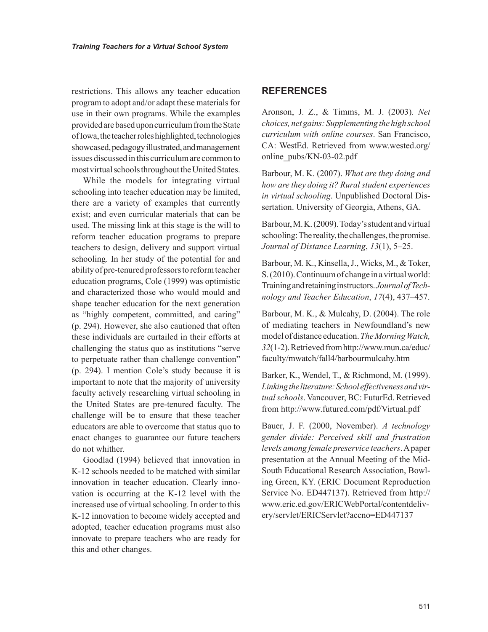restrictions. This allows any teacher education program to adopt and/or adapt these materials for use in their own programs. While the examples provided are based upon curriculum from the State of Iowa, the teacher roles highlighted, technologies showcased, pedagogy illustrated, and management issues discussed in this curriculum are common to most virtual schools throughout the United States.

While the models for integrating virtual schooling into teacher education may be limited, there are a variety of examples that currently exist; and even curricular materials that can be used. The missing link at this stage is the will to reform teacher education programs to prepare teachers to design, delivery and support virtual schooling. In her study of the potential for and ability of pre-tenured professors to reform teacher education programs, Cole (1999) was optimistic and characterized those who would mould and shape teacher education for the next generation as "highly competent, committed, and caring" (p. 294). However, she also cautioned that often these individuals are curtailed in their efforts at challenging the status quo as institutions "serve to perpetuate rather than challenge convention" (p. 294). I mention Cole's study because it is important to note that the majority of university faculty actively researching virtual schooling in the United States are pre-tenured faculty. The challenge will be to ensure that these teacher educators are able to overcome that status quo to enact changes to guarantee our future teachers do not whither.

Goodlad (1994) believed that innovation in K-12 schools needed to be matched with similar innovation in teacher education. Clearly innovation is occurring at the K-12 level with the increased use of virtual schooling. In order to this K-12 innovation to become widely accepted and adopted, teacher education programs must also innovate to prepare teachers who are ready for this and other changes.

#### **reFerenceS**

Aronson, J. Z., & Timms, M. J. (2003). *Net choices, net gains: Supplementing the high school curriculum with online courses*. San Francisco, CA: WestEd. Retrieved from www.wested.org/ online\_pubs/KN-03-02.pdf

Barbour, M. K. (2007). *What are they doing and how are they doing it? Rural student experiences in virtual schooling*. Unpublished Doctoral Dissertation. University of Georgia, Athens, GA.

Barbour, M. K. (2009). Today's student and virtual schooling: The reality, the challenges, the promise. *Journal of Distance Learning*, *13*(1), 5–25.

Barbour, M. K., Kinsella, J., Wicks, M., & Toker, S. (2010). Continuum of change in a virtual world: Training and retaining instructors. *Journal of Technology and Teacher Education*, *17*(4), 437–457.

Barbour, M. K., & Mulcahy, D. (2004). The role of mediating teachers in Newfoundland's new model of distance education. *The Morning Watch, 32*(1-2). Retrieved from http://www.mun.ca/educ/ faculty/mwatch/fall4/barbourmulcahy.htm

Barker, K., Wendel, T., & Richmond, M. (1999). *Linking the literature: School effectiveness and virtual schools*. Vancouver, BC: FuturEd. Retrieved from http://www.futured.com/pdf/Virtual.pdf

Bauer, J. F. (2000, November). *A technology gender divide: Perceived skill and frustration levels among female preservice teachers*. A paper presentation at the Annual Meeting of the Mid-South Educational Research Association, Bowling Green, KY. (ERIC Document Reproduction Service No. ED447137). Retrieved from http:// www.eric.ed.gov/ERICWebPortal/contentdelivery/servlet/ERICServlet?accno=ED447137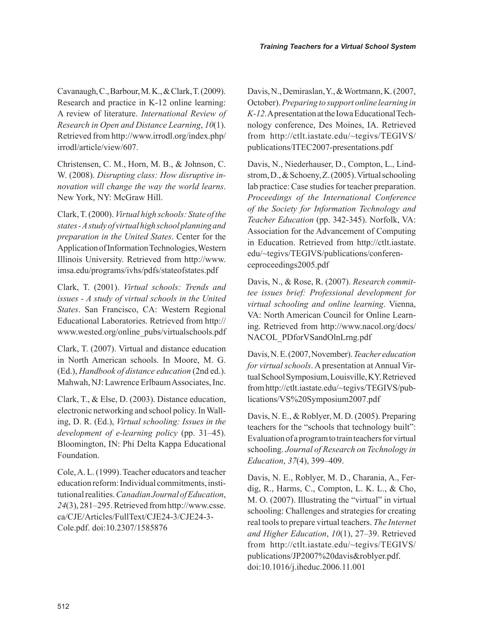Cavanaugh, C., Barbour, M. K., & Clark, T. (2009). Research and practice in K-12 online learning: A review of literature. *International Review of Research in Open and Distance Learning*, *10*(1). Retrieved from http://www.irrodl.org/index.php/ irrodl/article/view/607.

Christensen, C. M., Horn, M. B., & Johnson, C. W. (2008). *Disrupting class: How disruptive innovation will change the way the world learns*. New York, NY: McGraw Hill.

Clark, T. (2000). *Virtual high schools: State of the states - A study of virtual high school planning and preparation in the United States*. Center for the Application of Information Technologies, Western Illinois University. Retrieved from http://www. imsa.edu/programs/ivhs/pdfs/stateofstates.pdf

Clark, T. (2001). *Virtual schools: Trends and issues - A study of virtual schools in the United States*. San Francisco, CA: Western Regional Educational Laboratories. Retrieved from http:// www.wested.org/online\_pubs/virtualschools.pdf

Clark, T. (2007). Virtual and distance education in North American schools. In Moore, M. G. (Ed.), *Handbook of distance education* (2nd ed.). Mahwah, NJ: Lawrence Erlbaum Associates, Inc.

Clark, T., & Else, D. (2003). Distance education, electronic networking and school policy. In Walling, D. R. (Ed.), *Virtual schooling: Issues in the development of e-learning policy* (pp. 31–45). Bloomington, IN: Phi Delta Kappa Educational Foundation.

Cole, A. L. (1999). Teacher educators and teacher education reform: Individual commitments, institutional realities. *Canadian Journal of Education*, *24*(3), 281–295. Retrieved from http://www.csse. ca/CJE/Articles/FullText/CJE24-3/CJE24-3- Cole.pdf. doi:10.2307/1585876

Davis, N., Demiraslan, Y., & Wortmann, K. (2007, October). *Preparing to support online learning in K-12*. A presentation at the Iowa Educational Technology conference, Des Moines, IA. Retrieved from http://ctlt.iastate.edu/~tegivs/TEGIVS/ publications/ITEC2007-presentations.pdf

Davis, N., Niederhauser, D., Compton, L., Lindstrom, D., & Schoeny, Z. (2005). Virtual schooling lab practice: Case studies for teacher preparation. *Proceedings of the International Conference of the Society for Information Technology and Teacher Education* (pp. 342-345). Norfolk, VA: Association for the Advancement of Computing in Education. Retrieved from http://ctlt.iastate. edu/~tegivs/TEGIVS/publications/conferenceproceedings2005.pdf

Davis, N., & Rose, R. (2007). *Research committee issues brief: Professional development for virtual schooling and online learning*. Vienna, VA: North American Council for Online Learning. Retrieved from http://www.nacol.org/docs/ NACOL\_PDforVSandOlnLrng.pdf

Davis, N. E. (2007, November). *Teacher education for virtual schools*. A presentation at Annual Virtual School Symposium, Louisville, KY. Retrieved from http://ctlt.iastate.edu/~tegivs/TEGIVS/publications/VS%20Symposium2007.pdf

Davis, N. E., & Roblyer, M. D. (2005). Preparing teachers for the "schools that technology built": Evaluation of a program to train teachers for virtual schooling. *Journal of Research on Technology in Education*, *37*(4), 399–409.

Davis, N. E., Roblyer, M. D., Charania, A., Ferdig, R., Harms, C., Compton, L. K. L., & Cho, M. O. (2007). Illustrating the "virtual" in virtual schooling: Challenges and strategies for creating real tools to prepare virtual teachers. *The Internet and Higher Education*, *10*(1), 27–39. Retrieved from http://ctlt.iastate.edu/~tegivs/TEGIVS/ publications/JP2007%20davis&roblyer.pdf. doi:10.1016/j.iheduc.2006.11.001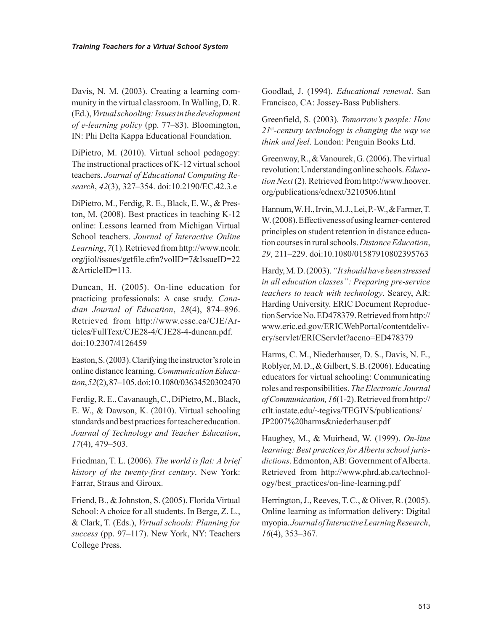Davis, N. M. (2003). Creating a learning community in the virtual classroom. In Walling, D. R. (Ed.), *Virtual schooling: Issues in the development of e-learning policy* (pp. 77–83). Bloomington, IN: Phi Delta Kappa Educational Foundation.

DiPietro, M. (2010). Virtual school pedagogy: The instructional practices of K-12 virtual school teachers. *Journal of Educational Computing Research*, *42*(3), 327–354. doi:10.2190/EC.42.3.e

DiPietro, M., Ferdig, R. E., Black, E. W., & Preston, M. (2008). Best practices in teaching K-12 online: Lessons learned from Michigan Virtual School teachers. *Journal of Interactive Online Learning*, *7*(1). Retrieved from http://www.ncolr. org/jiol/issues/getfile.cfm?volID=7&IssueID=22 &ArticleID=113.

Duncan, H. (2005). On-line education for practicing professionals: A case study. *Canadian Journal of Education*, *28*(4), 874–896. Retrieved from http://www.csse.ca/CJE/Articles/FullText/CJE28-4/CJE28-4-duncan.pdf. doi:10.2307/4126459

Easton, S. (2003). Clarifying the instructor's role in online distance learning. *Communication Education*, *52*(2), 87–105. doi:10.1080/03634520302470

Ferdig, R. E., Cavanaugh, C., DiPietro, M., Black, E. W., & Dawson, K. (2010). Virtual schooling standards and best practices for teacher education. *Journal of Technology and Teacher Education*, *17*(4), 479–503.

Friedman, T. L. (2006). *The world is flat: A brief history of the twenty-first century*. New York: Farrar, Straus and Giroux.

Friend, B., & Johnston, S. (2005). Florida Virtual School: A choice for all students. In Berge, Z. L., & Clark, T. (Eds.), *Virtual schools: Planning for success* (pp. 97–117). New York, NY: Teachers College Press.

Goodlad, J. (1994). *Educational renewal*. San Francisco, CA: Jossey-Bass Publishers.

Greenfield, S. (2003). *Tomorrow's people: How 21*st*-century technology is changing the way we think and feel*. London: Penguin Books Ltd.

Greenway, R., & Vanourek, G. (2006). The virtual revolution: Understanding online schools. *Education Next* (2). Retrieved from http://www.hoover. org/publications/ednext/3210506.html

Hannum, W. H., Irvin, M. J., Lei, P.-W., & Farmer, T. W. (2008). Effectiveness of using learner-centered principles on student retention in distance education courses in rural schools. *Distance Education*, *29*, 211–229. doi:10.1080/01587910802395763

Hardy, M. D. (2003). *"It should have been stressed in all education classes": Preparing pre-service teachers to teach with technology*. Searcy, AR: Harding University. ERIC Document Reproduction Service No. ED478379. Retrieved from http:// www.eric.ed.gov/ERICWebPortal/contentdelivery/servlet/ERICServlet?accno=ED478379

Harms, C. M., Niederhauser, D. S., Davis, N. E., Roblyer, M. D., & Gilbert, S. B. (2006). Educating educators for virtual schooling: Communicating roles and responsibilities. *The Electronic Journal of Communication, 16*(1-2). Retrieved from http:// ctlt.iastate.edu/~tegivs/TEGIVS/publications/ JP2007%20harms&niederhauser.pdf

Haughey, M., & Muirhead, W. (1999). *On-line learning: Best practices for Alberta school jurisdictions*. Edmonton, AB: Government of Alberta. Retrieved from http://www.phrd.ab.ca/technology/best\_practices/on-line-learning.pdf

Herrington, J., Reeves, T.C., & Oliver, R. (2005). Online learning as information delivery: Digital myopia. *Journal of Interactive Learning Research*, *16*(4), 353–367.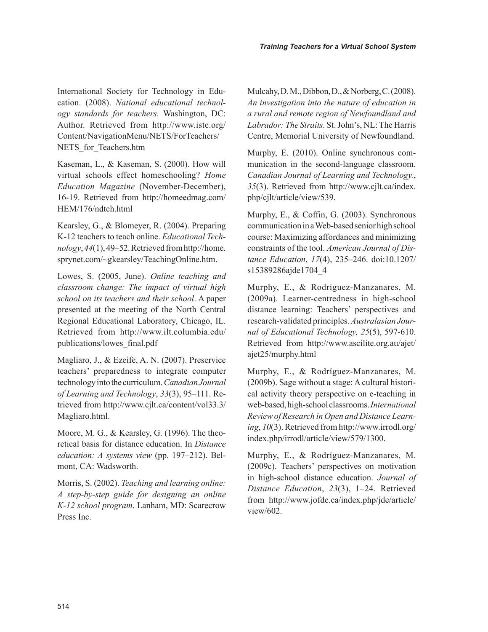International Society for Technology in Education. (2008). *National educational technology standards for teachers.* Washington, DC: Author. Retrieved from http://www.iste.org/ Content/NavigationMenu/NETS/ForTeachers/ NETS for Teachers.htm

Kaseman, L., & Kaseman, S. (2000). How will virtual schools effect homeschooling? *Home Education Magazine* (November-December), 16-19. Retrieved from http://homeedmag.com/ HEM/176/ndtch.html

Kearsley, G., & Blomeyer, R. (2004). Preparing K-12 teachers to teach online. *Educational Technology*, *44*(1), 49–52. Retrieved from http://home. sprynet.com/~gkearsley/TeachingOnline.htm.

Lowes, S. (2005, June). *Online teaching and classroom change: The impact of virtual high school on its teachers and their school*. A paper presented at the meeting of the North Central Regional Educational Laboratory, Chicago, IL. Retrieved from http://www.ilt.columbia.edu/ publications/lowes\_final.pdf

Magliaro, J., & Ezeife, A. N. (2007). Preservice teachers' preparedness to integrate computer technology into the curriculum. *Canadian Journal of Learning and Technology*, *33*(3), 95–111. Retrieved from http://www.cjlt.ca/content/vol33.3/ Magliaro.html.

Moore, M. G., & Kearsley, G. (1996). The theoretical basis for distance education. In *Distance education: A systems view* (pp. 197–212). Belmont, CA: Wadsworth.

Morris, S. (2002). *Teaching and learning online: A step-by-step guide for designing an online K-12 school program*. Lanham, MD: Scarecrow Press Inc.

Mulcahy, D. M., Dibbon, D., & Norberg, C. (2008). *An investigation into the nature of education in a rural and remote region of Newfoundland and Labrador: The Straits*. St. John's, NL: The Harris Centre, Memorial University of Newfoundland.

Murphy, E. (2010). Online synchronous communication in the second-language classroom. *Canadian Journal of Learning and Technology.*, *35*(3). Retrieved from http://www.cjlt.ca/index. php/cjlt/article/view/539.

Murphy, E., & Coffin, G. (2003). Synchronous communication in a Web-based senior high school course: Maximizing affordances and minimizing constraints of the tool. *American Journal of Distance Education*, *17*(4), 235–246. doi:10.1207/ s15389286ajde1704\_4

Murphy, E., & Rodríguez-Manzanares, M. (2009a). Learner-centredness in high-school distance learning: Teachers' perspectives and research-validated principles. *Australasian Journal of Educational Technology, 25*(5), 597-610. Retrieved from http://www.ascilite.org.au/ajet/ ajet25/murphy.html

Murphy, E., & Rodríguez-Manzanares, M. (2009b). Sage without a stage: A cultural historical activity theory perspective on e-teaching in web-based, high-school classrooms. *International Review of Research in Open and Distance Learning*, *10*(3). Retrieved from http://www.irrodl.org/ index.php/irrodl/article/view/579/1300.

Murphy, E., & Rodríguez-Manzanares, M. (2009c). Teachers' perspectives on motivation in high-school distance education. *Journal of Distance Education*, *23*(3), 1–24. Retrieved from http://www.jofde.ca/index.php/jde/article/ view/602.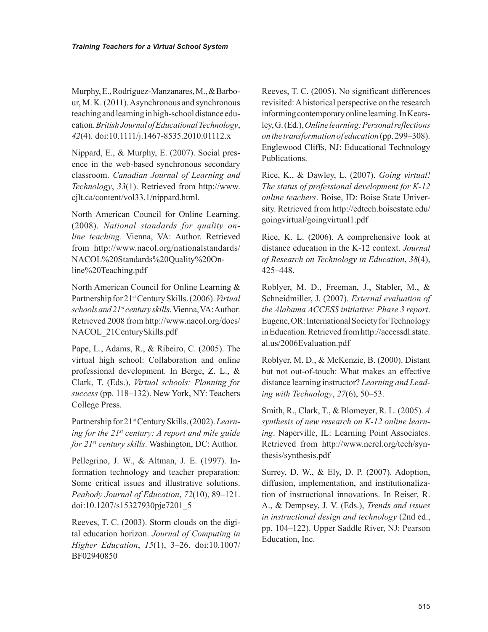Murphy, E., Rodríguez-Manzanares, M., & Barbour, M. K. (2011). Asynchronous and synchronous teaching and learning in high-school distance education. *British Journal of Educational Technology*, *42*(4). doi:10.1111/j.1467-8535.2010.01112.x

Nippard, E., & Murphy, E. (2007). Social presence in the web-based synchronous secondary classroom. *Canadian Journal of Learning and Technology*, *33*(1). Retrieved from http://www. cjlt.ca/content/vol33.1/nippard.html.

North American Council for Online Learning. (2008). *National standards for quality online teaching.* Vienna, VA: Author. Retrieved from http://www.nacol.org/nationalstandards/ NACOL%20Standards%20Quality%20Online%20Teaching.pdf

North American Council for Online Learning & Partnership for 21st Century Skills. (2006). *Virtual schools and 21st century skills*. Vienna, VA: Author. Retrieved 2008 from http://www.nacol.org/docs/ NACOL\_21CenturySkills.pdf

Pape, L., Adams, R., & Ribeiro, C. (2005). The virtual high school: Collaboration and online professional development. In Berge, Z. L., & Clark, T. (Eds.), *Virtual schools: Planning for success* (pp. 118–132). New York, NY: Teachers College Press.

Partnership for 21st Century Skills. (2002). *Learning for the 21st century: A report and mile guide for 21st century skills*. Washington, DC: Author.

Pellegrino, J. W., & Altman, J. E. (1997). Information technology and teacher preparation: Some critical issues and illustrative solutions. *Peabody Journal of Education*, *72*(10), 89–121. doi:10.1207/s15327930pje7201\_5

Reeves, T. C. (2003). Storm clouds on the digital education horizon. *Journal of Computing in Higher Education*, *15*(1), 3–26. doi:10.1007/ BF02940850

Reeves, T. C. (2005). No significant differences revisited: A historical perspective on the research informing contemporary online learning. In Kearsley, G. (Ed.), *Online learning: Personal reflections on the transformation of education* (pp. 299–308). Englewood Cliffs, NJ: Educational Technology Publications.

Rice, K., & Dawley, L. (2007). *Going virtual! The status of professional development for K-12 online teachers*. Boise, ID: Boise State University. Retrieved from http://edtech.boisestate.edu/ goingvirtual/goingvirtual1.pdf

Rice, K. L. (2006). A comprehensive look at distance education in the K-12 context. *Journal of Research on Technology in Education*, *38*(4), 425–448.

Roblyer, M. D., Freeman, J., Stabler, M., & Schneidmiller, J. (2007). *External evaluation of the Alabama ACCESS initiative: Phase 3 report*. Eugene, OR: International Society for Technology in Education. Retrieved from http://accessdl.state. al.us/2006Evaluation.pdf

Roblyer, M. D., & McKenzie, B. (2000). Distant but not out-of-touch: What makes an effective distance learning instructor? *Learning and Leading with Technology*, *27*(6), 50–53.

Smith, R., Clark, T., & Blomeyer, R. L. (2005). *A synthesis of new research on K-12 online learning*. Naperville, IL: Learning Point Associates. Retrieved from http://www.ncrel.org/tech/synthesis/synthesis.pdf

Surrey, D. W., & Ely, D. P. (2007). Adoption, diffusion, implementation, and institutionalization of instructional innovations. In Reiser, R. A., & Dempsey, J. V. (Eds.), *Trends and issues in instructional design and technology* (2nd ed., pp. 104–122). Upper Saddle River, NJ: Pearson Education, Inc.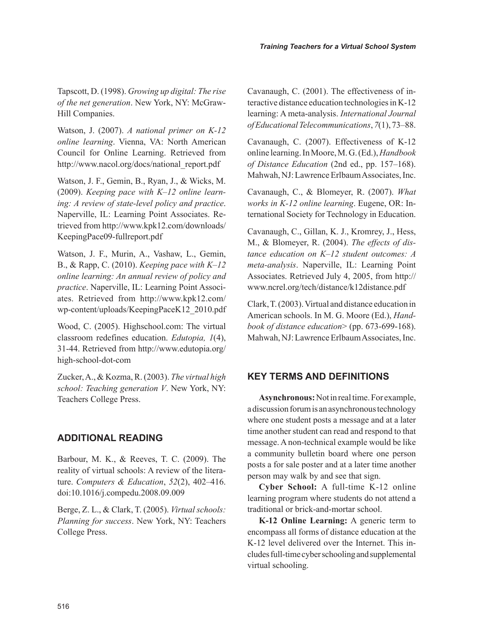Tapscott, D. (1998). *Growing up digital: The rise of the net generation*. New York, NY: McGraw-Hill Companies.

Watson, J. (2007). *A national primer on K-12 online learning*. Vienna, VA: North American Council for Online Learning. Retrieved from http://www.nacol.org/docs/national\_report.pdf

Watson, J. F., Gemin, B., Ryan, J., & Wicks, M. (2009). *Keeping pace with K–12 online learning: A review of state-level policy and practice*. Naperville, IL: Learning Point Associates. Retrieved from http://www.kpk12.com/downloads/ KeepingPace09-fullreport.pdf

Watson, J. F., Murin, A., Vashaw, L., Gemin, B., & Rapp, C. (2010). *Keeping pace with K–12 online learning: An annual review of policy and practice*. Naperville, IL: Learning Point Associates. Retrieved from http://www.kpk12.com/ wp-content/uploads/KeepingPaceK12\_2010.pdf

Wood, C. (2005). Highschool.com: The virtual classroom redefines education. *Edutopia, 1*(4), 31-44. Retrieved from http://www.edutopia.org/ high-school-dot-com

Zucker, A., & Kozma, R. (2003). *The virtual high school: Teaching generation V*. New York, NY: Teachers College Press.

### **additiOnal reading**

Barbour, M. K., & Reeves, T. C. (2009). The reality of virtual schools: A review of the literature. *Computers & Education*, *52*(2), 402–416. doi:10.1016/j.compedu.2008.09.009

Berge, Z. L., & Clark, T. (2005). *Virtual schools: Planning for success*. New York, NY: Teachers College Press.

Cavanaugh, C. (2001). The effectiveness of interactive distance education technologies in K-12 learning: A meta-analysis. *International Journal of Educational Telecommunications*, *7*(1), 73–88.

Cavanaugh, C. (2007). Effectiveness of K-12 online learning. In Moore, M. G. (Ed.), *Handbook of Distance Education* (2nd ed., pp. 157–168). Mahwah, NJ: Lawrence Erlbaum Associates, Inc.

Cavanaugh, C., & Blomeyer, R. (2007). *What works in K-12 online learning*. Eugene, OR: International Society for Technology in Education.

Cavanaugh, C., Gillan, K. J., Kromrey, J., Hess, M., & Blomeyer, R. (2004). *The effects of distance education on K–12 student outcomes: A meta-analysis*. Naperville, IL: Learning Point Associates. Retrieved July 4, 2005, from http:// www.ncrel.org/tech/distance/k12distance.pdf

Clark, T. (2003). Virtual and distance education in American schools. In M. G. Moore (Ed.), *Handbook of distance education*> (pp. 673-699-168). Mahwah, NJ: Lawrence Erlbaum Associates, Inc.

### **key termS and deFinitiOnS**

**Asynchronous:** Not in real time. For example, a discussion forum is an asynchronous technology where one student posts a message and at a later time another student can read and respond to that message. A non-technical example would be like a community bulletin board where one person posts a for sale poster and at a later time another person may walk by and see that sign.

**Cyber School:** A full-time K-12 online learning program where students do not attend a traditional or brick-and-mortar school.

**K-12 Online Learning:** A generic term to encompass all forms of distance education at the K-12 level delivered over the Internet. This includes full-time cyber schooling and supplemental virtual schooling.